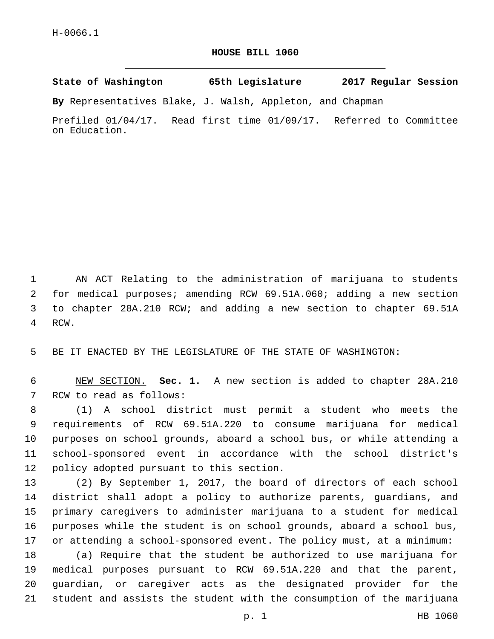## **HOUSE BILL 1060**

**State of Washington 65th Legislature 2017 Regular Session**

**By** Representatives Blake, J. Walsh, Appleton, and Chapman

Prefiled 01/04/17. Read first time 01/09/17. Referred to Committee on Education.

 AN ACT Relating to the administration of marijuana to students for medical purposes; amending RCW 69.51A.060; adding a new section to chapter 28A.210 RCW; and adding a new section to chapter 69.51A 4 RCW.

BE IT ENACTED BY THE LEGISLATURE OF THE STATE OF WASHINGTON:

 NEW SECTION. **Sec. 1.** A new section is added to chapter 28A.210 7 RCW to read as follows:

 (1) A school district must permit a student who meets the requirements of RCW 69.51A.220 to consume marijuana for medical purposes on school grounds, aboard a school bus, or while attending a school-sponsored event in accordance with the school district's 12 policy adopted pursuant to this section.

 (2) By September 1, 2017, the board of directors of each school district shall adopt a policy to authorize parents, guardians, and primary caregivers to administer marijuana to a student for medical purposes while the student is on school grounds, aboard a school bus, or attending a school-sponsored event. The policy must, at a minimum:

 (a) Require that the student be authorized to use marijuana for medical purposes pursuant to RCW 69.51A.220 and that the parent, guardian, or caregiver acts as the designated provider for the student and assists the student with the consumption of the marijuana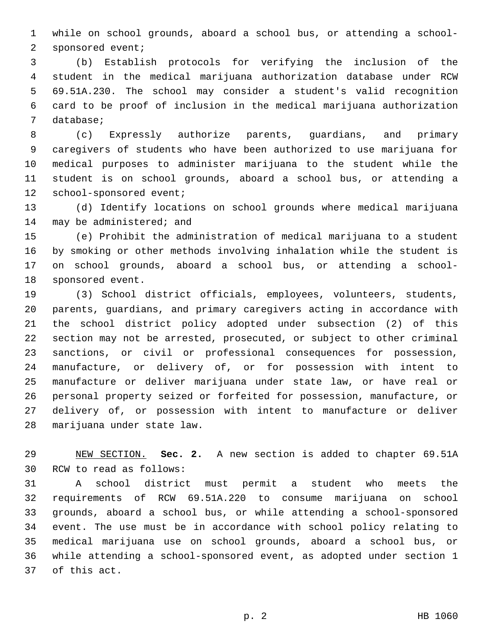while on school grounds, aboard a school bus, or attending a school-2 sponsored event;

 (b) Establish protocols for verifying the inclusion of the student in the medical marijuana authorization database under RCW 69.51A.230. The school may consider a student's valid recognition card to be proof of inclusion in the medical marijuana authorization 7 database;

 (c) Expressly authorize parents, guardians, and primary caregivers of students who have been authorized to use marijuana for medical purposes to administer marijuana to the student while the student is on school grounds, aboard a school bus, or attending a 12 school-sponsored event;

 (d) Identify locations on school grounds where medical marijuana 14 may be administered; and

 (e) Prohibit the administration of medical marijuana to a student by smoking or other methods involving inhalation while the student is on school grounds, aboard a school bus, or attending a school-18 sponsored event.

 (3) School district officials, employees, volunteers, students, parents, guardians, and primary caregivers acting in accordance with the school district policy adopted under subsection (2) of this section may not be arrested, prosecuted, or subject to other criminal sanctions, or civil or professional consequences for possession, manufacture, or delivery of, or for possession with intent to manufacture or deliver marijuana under state law, or have real or personal property seized or forfeited for possession, manufacture, or delivery of, or possession with intent to manufacture or deliver 28 marijuana under state law.

 NEW SECTION. **Sec. 2.** A new section is added to chapter 69.51A 30 RCW to read as follows:

 A school district must permit a student who meets the requirements of RCW 69.51A.220 to consume marijuana on school grounds, aboard a school bus, or while attending a school-sponsored event. The use must be in accordance with school policy relating to medical marijuana use on school grounds, aboard a school bus, or while attending a school-sponsored event, as adopted under section 1 37 of this act.